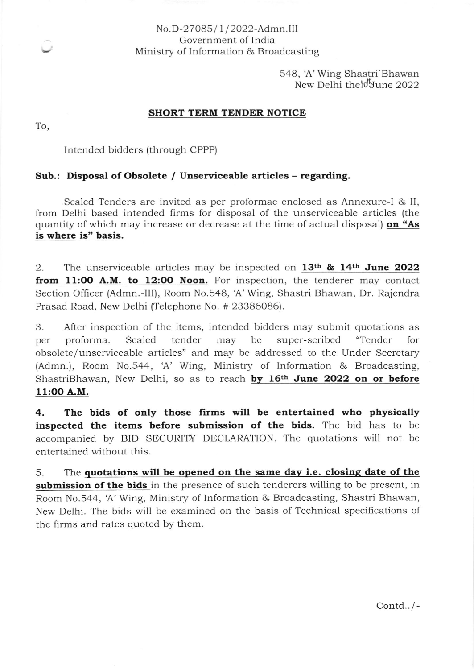## No.D-27085/1/2022-Admn.III Government of lndia Ministry of Information & Broadcasting

548, A' Wing Shastri'Bhawan New Delhi the June 2022

#### SHORT TERM TENDER NOTICE

To,

Intended bidders (through CPPP)

## Sub.: Disposal of Obsolete / Unserviceable articles - regarding.

Sealed Tenders are invited as per proformae enclosed as Annexure-l & II, from Delhi based intended Iirms for disposal of the unserviceable articles (the quantity of which may increase or decrease at the time of actual disposal) on "As is where is' basis.

2. The unserviceable articles may be inspected on  $13<sup>th</sup>$  &  $14<sup>th</sup>$  June 2022 from 11:00 A.M. to 12:00 Noon. For inspection, the tenderer may contact Section Officer (Admn.-III), Room No.548, 'A' Wing, Shastri Bhawan, Dr. Rajendra Prasad Road, New Deihi (Telephone No. # 23386086).

3. After inspection of the items, intended bidders may submit quotations as per proforma. Sealed tender may be super-scribed "Tender for obsolete/unserviceable articles" and may be addressed to the Under Secretary (Admn.), Room No.544, 'A' Wing, Ministry of Information & Broadcasting. ShastriBhawan, New Delhi, so as to reach by 16<sup>th</sup> June 2022 on or before 11:OO A.M.

4. The bids of only those firms will be entertained who physically inspected the items before submission of the bids. The bid has to be accompanied by BID SECURITY DECLARATION. The quotations will not be entertained without this.

5. The quotations will be opened on the same day i.e. closing date of the submission of the bids in the presence of such tenderers willing to be present, in Room No.544, A' Wing, Ministry of Information & Broadcasting, Shastri Bhawan, New Delhi. The bids will be examined on the basis of Technical specifications of the firms and rates quoted by them.

Contd.. / -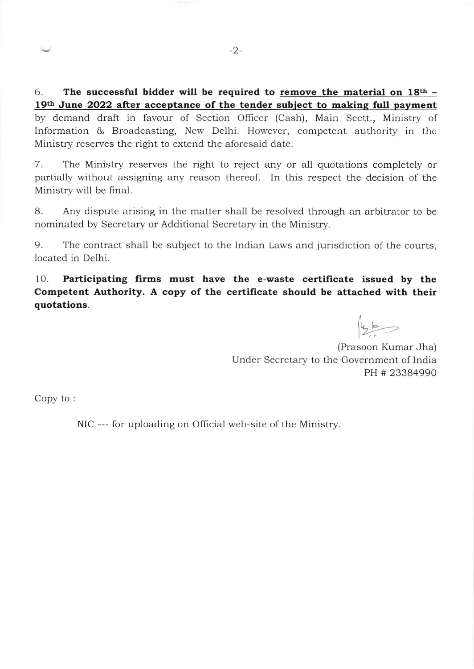6. The successful bidder will be required to remove the material on  $18<sup>th</sup>$  -19<sup>th</sup> June 2022 after acceptance of the tender subject to making full payment by demand draft in favour of Section Officer (Cash), Main Sectt., Ministry of Information & Broadcasting, New Delhi. However, competent authority in the Ministry reserves the right to extend the aforesaid date.

7. The Ministry reserves the right to reject any or all quotations completely or partially without assigning any reason thereof. In this respect the decision of the Ministry will be final.

B. Any dispute arising in the matter shall be resolved through an arbitrator to be nominated by Secretary or Additional Secretary in the Ministry.

9. The contract shall be subject to the Indian Laws and jurisdiction of the courts, located in Delhi.

10. Participating firms must have the e-waste certificate issued by the Competent Authority. A copy of the certificate should be attached with their quotations.

 $456$ 

(Prasoon Kumar Jha) Under Secretary to the Government of India PH # 23384990

Copy to :

NIC --- for uploading on Official web-site of the Ministry